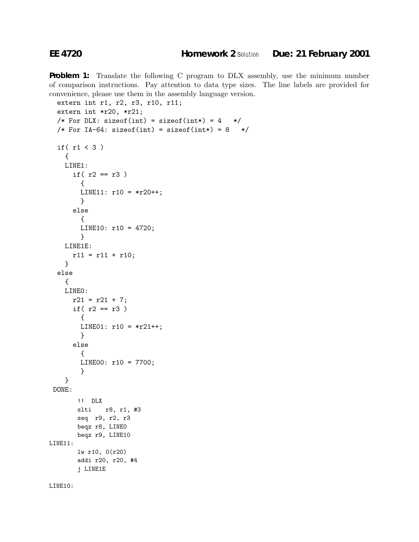**Problem 1:** Translate the following C program to DLX assembly, use the minimum number of comparison instructions. Pay attention to data type sizes. The line labels are provided for convenience, please use them in the assembly language version.

```
extern int r1, r2, r3, r10, r11;
  extern int *r20, *r21;
  /* For DLX: sizeof(int) = sizeof(int*) = 4 */
  /* For IA-64: sizeof(int) = sizeof(int*) = 8 */if( r1 < 3 )
    {
    LINE1:
      if(r2 == r3){
        LINE11: r10 = *r20++;}
      else
        {
        LINE10: r10 = 4720;
        }
    LINE1E:
      r11 = r11 + r10;}
  else
    {
    LINE0:
      r21 = r21 + 7;if(r2 == r3){
        LINE01: r10 = *r21++;}
      else
        {
        LINE00: r10 = 7700;
        }
    }
DONE:
       !! DLX
       slti r8, r1, #3
       seq r9, r2, r3
       beqz r8, LINE0
       beqz r9, LINE10
LINE11:
       lw r10, 0(r20)
       addi r20, r20, #4
       j LINE1E
LINE10:
```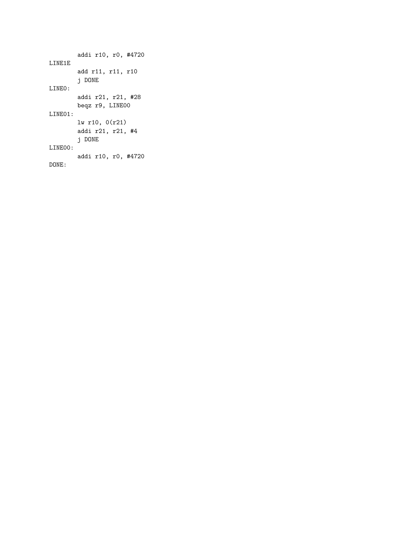```
addi r10, r0, #4720
LINE1E
       add r11, r11, r10
        j DONE
LINE0:
       addi r21, r21, #28
       beqz r9, LINE00
LINE01:
       lw r10, 0(r21)
       addi r21, r21, #4
       j DONE
LINE00:
       addi r10, r0, #4720
DONE:
```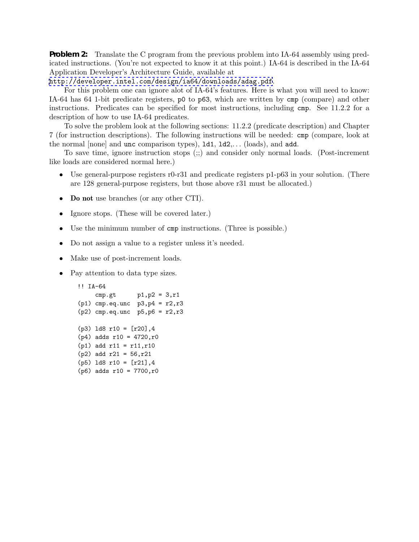**Problem 2:** Translate the C program from the previous problem into IA-64 assembly using predicated instructions. (You're not expected to know it at this point.) IA-64 is described in the IA-64 Application Developer's Architecture Guide, available at

<http://developer.intel.com/design/ia64/downloads/adag.pdf>.

For this problem one can ignore alot of IA-64's features. Here is what you will need to know: IA-64 has 64 1-bit predicate registers, p0 to p63, which are written by cmp (compare) and other instructions. Predicates can be specified for most instructions, including cmp. See 11.2.2 for a description of how to use IA-64 predicates.

To solve the problem look at the following sections: 11.2.2 (predicate description) and Chapter 7 (for instruction descriptions). The following instructions will be needed: cmp (compare, look at the normal [none] and unc comparison types), ld1, ld2,... (loads), and add.

To save time, ignore instruction stops (;;) and consider only normal loads. (Post-increment like loads are considered normal here.)

- Use general-purpose registers  $r0-r31$  and predicate registers  $p1-p63$  in your solution. (There are 128 general-purpose registers, but those above r31 must be allocated.)
- **Do not** use branches (or any other CTI).
- Ignore stops. (These will be covered later.)
- Use the minimum number of cmp instructions. (Three is possible.)
- Do not assign a value to a register unless it's needed.
- Make use of post-increment loads.
- Pay attention to data type sizes.

```
!! IA-64
    cmp.gt p1, p2 = 3, r1(p1) cmp.eq.unc p3, p4 = r2, r3(p2) cmp.eq.unc p5,p6 = r2,r3
(p3) ld8 r10 = [r20],4
(p4) adds r10 = 4720, r0(p1) add r11 = r11,r10
(p2) add r21 = 56,r21
(p5) 1d8 r10 = [r21],4
(p6) adds r10 = 7700,r0
```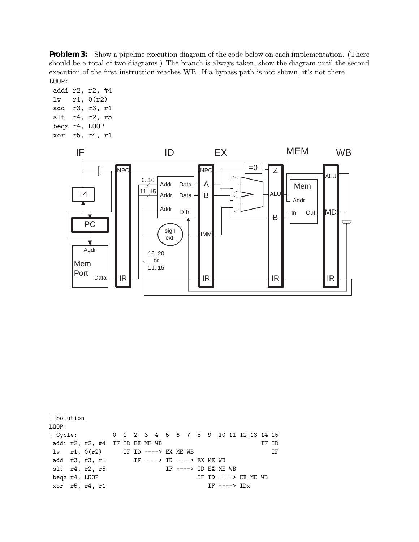**Problem 3:** Show a pipeline execution diagram of the code below on each implementation. (There should be a total of two diagrams.) The branch is always taken, show the diagram until the second execution of the first instruction reaches WB. If a bypass path is not shown, it's not there. LOOP:

| addi r2, r2, #4 |               |  |  |  |  |
|-----------------|---------------|--|--|--|--|
| lw              | r1, 0(r2)     |  |  |  |  |
| add             | r3, r3, r1    |  |  |  |  |
| slt r4, r2, r5  |               |  |  |  |  |
|                 | begz r4, LOOP |  |  |  |  |
| xor r5, r4, r1  |               |  |  |  |  |



! Solution LOOP: ! Cycle: 0 1 2 3 4 5 6 7 8 9 10 11 12 13 14 15 addi r2, r2, #4 IF ID EX ME WB IF ID lw r1, 0(r2) IF ID ----> EX ME WB IF add r3, r3, r1 IF ----> ID ----> EX ME WB slt r4, r2, r5 IF ----> ID EX ME WB beqz r4, LOOP **IF ID ----> EX ME WB** xor r5, r4, r1 IF ----> IDx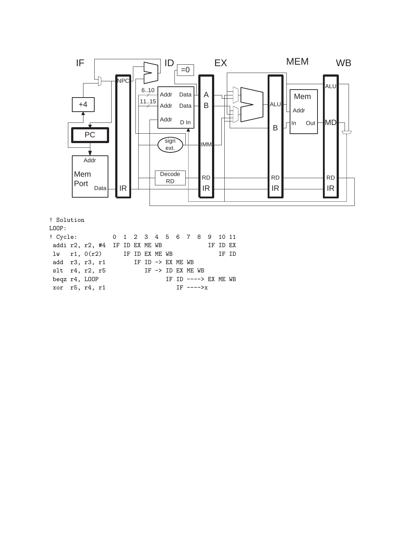

! Solution

LOOP:

| ! Cycle: 0 1 2 3 4 5 6 7 8 9 10 11     |                   |  |                   |  |             |                         |  |
|----------------------------------------|-------------------|--|-------------------|--|-------------|-------------------------|--|
| addi $r2$ , $r2$ , $#4$ IF ID EX ME WB |                   |  |                   |  |             | IF ID EX                |  |
| $1w$ r1, $0(r2)$ IF ID EX ME WB        |                   |  |                   |  |             | <b>Example 18</b> IF ID |  |
| add r3, r3, r1                         | IF ID -> EX ME WB |  |                   |  |             |                         |  |
| slt r4, r2, r5                         |                   |  | IF -> ID EX ME WB |  |             |                         |  |
| begz r4, LOOP                          |                   |  |                   |  |             | IF ID $---> EX ME WB$   |  |
| xor r5, r4, r1                         |                   |  |                   |  | $TF$ ---->x |                         |  |